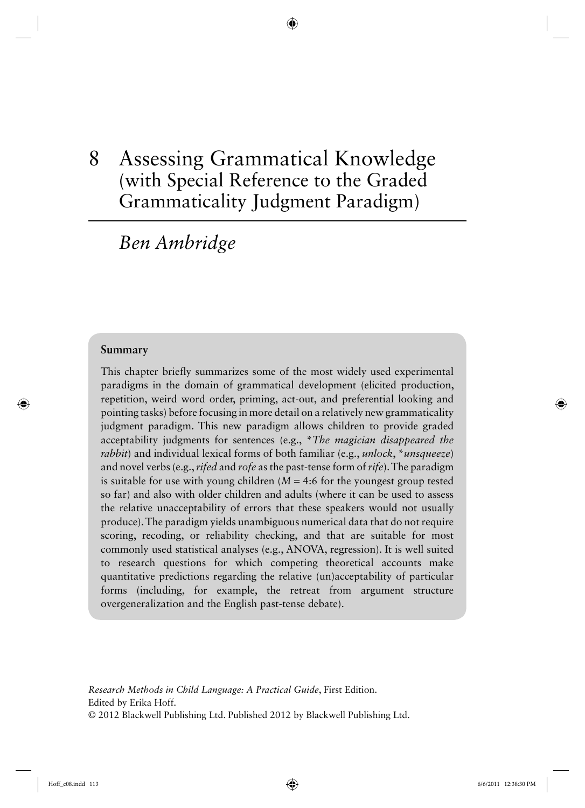# 8 Assessing Grammatical Knowledge (with Special Reference to the Graded Grammaticality Judgment Paradigm)

⊕

# *Ben Ambridge*

#### **Summary**

⊕

This chapter briefly summarizes some of the most widely used experimental paradigms in the domain of grammatical development (elicited production, repetition, weird word order, priming, act-out, and preferential looking and pointing tasks) before focusing in more detail on a relatively new grammaticality judgment paradigm. This new paradigm allows children to provide graded acceptability judgments for sentences (e.g., \**The magician disappeared the rabbit*) and individual lexical forms of both familiar (e.g., *unlock*, \**unsqueeze*) and novel verbs (e.g., *rifed* and *rofe* as the past-tense form of *rife*). The paradigm is suitable for use with young children (*M* = 4:6 for the youngest group tested so far) and also with older children and adults (where it can be used to assess the relative unacceptability of errors that these speakers would not usually produce). The paradigm yields unambiguous numerical data that do not require scoring, recoding, or reliability checking, and that are suitable for most commonly used statistical analyses (e.g., ANOVA, regression). It is well suited to research questions for which competing theoretical accounts make quantitative predictions regarding the relative (un)acceptability of particular forms (including, for example, the retreat from argument structure overgeneralization and the English past-tense debate).

*Research Methods in Child Language: A Practical Guide*, First Edition. Edited by Erika Hoff. © 2012 Blackwell Publishing Ltd. Published 2012 by Blackwell Publishing Ltd.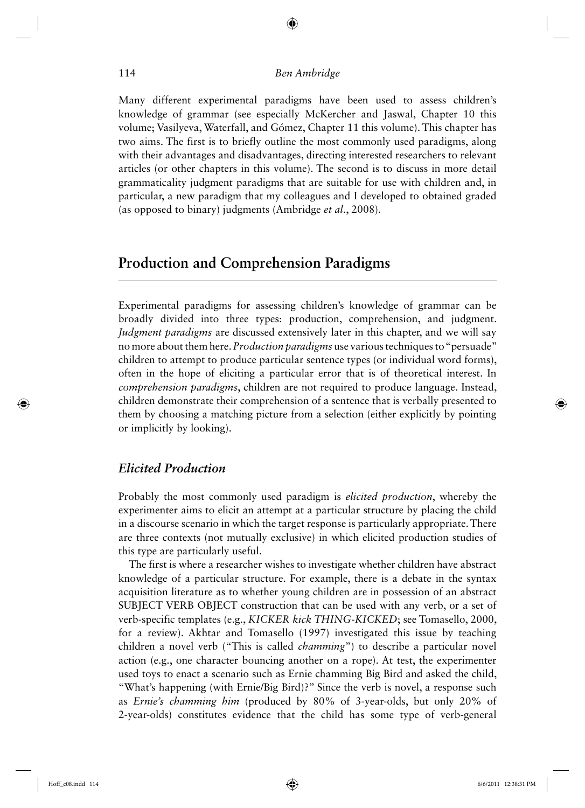⊕

Many different experimental paradigms have been used to assess children's knowledge of grammar (see especially McKercher and Jaswal, Chapter 10 this volume; Vasilyeva, Waterfall, and Gómez, Chapter 11 this volume). This chapter has two aims. The first is to briefly outline the most commonly used paradigms, along with their advantages and disadvantages, directing interested researchers to relevant articles (or other chapters in this volume). The second is to discuss in more detail grammaticality judgment paradigms that are suitable for use with children and, in particular, a new paradigm that my colleagues and I developed to obtained graded (as opposed to binary) judgments (Ambridge *et al*., 2008).

# **Production and Comprehension Paradigms**

Experimental paradigms for assessing children's knowledge of grammar can be broadly divided into three types: production, comprehension, and judgment. *Judgment paradigms* are discussed extensively later in this chapter, and we will say no more about them here. *Production paradigms* use various techniques to "persuade" children to attempt to produce particular sentence types (or individual word forms), often in the hope of eliciting a particular error that is of theoretical interest. In *comprehension paradigms*, children are not required to produce language. Instead, children demonstrate their comprehension of a sentence that is verbally presented to them by choosing a matching picture from a selection (either explicitly by pointing or implicitly by looking).

#### *Elicited Production*

Probably the most commonly used paradigm is *elicited production*, whereby the experimenter aims to elicit an attempt at a particular structure by placing the child in a discourse scenario in which the target response is particularly appropriate. There are three contexts (not mutually exclusive) in which elicited production studies of this type are particularly useful.

The first is where a researcher wishes to investigate whether children have abstract knowledge of a particular structure. For example, there is a debate in the syntax acquisition literature as to whether young children are in possession of an abstract SUBJECT VERB OBJECT construction that can be used with any verb, or a set of verb-specific templates (e.g., *KICKER kick THING-KICKED*; see Tomasello, 2000, for a review). Akhtar and Tomasello (1997) investigated this issue by teaching children a novel verb ("This is called *chamming*") to describe a particular novel action (e.g., one character bouncing another on a rope). At test, the experimenter used toys to enact a scenario such as Ernie chamming Big Bird and asked the child, "What's happening (with Ernie/Big Bird)?" Since the verb is novel, a response such as *Ernie's chamming him* (produced by 80% of 3-year-olds, but only 20% of 2-year-olds) constitutes evidence that the child has some type of verb-general

⊕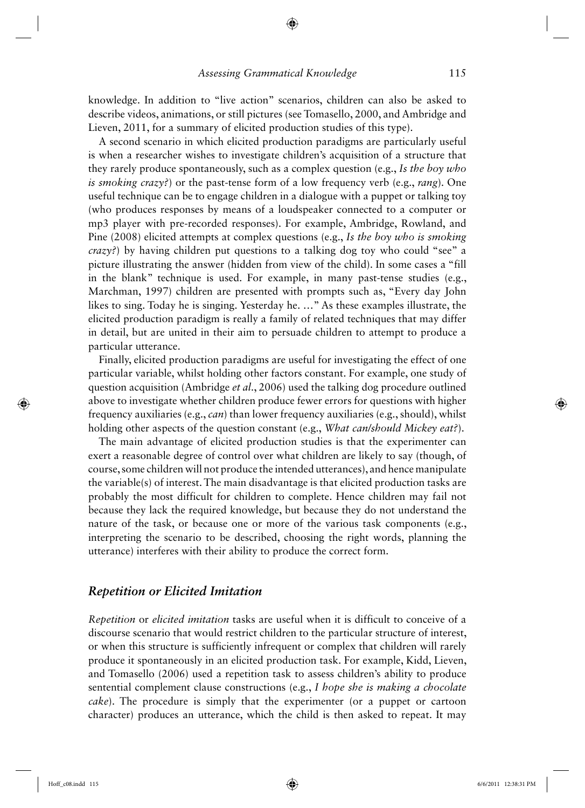knowledge. In addition to "live action" scenarios, children can also be asked to describe videos, animations, or still pictures (see Tomasello, 2000, and Ambridge and Lieven, 2011, for a summary of elicited production studies of this type).

A second scenario in which elicited production paradigms are particularly useful is when a researcher wishes to investigate children's acquisition of a structure that they rarely produce spontaneously, such as a complex question (e.g., *Is the boy who is smoking crazy?*) or the past-tense form of a low frequency verb (e.g., *rang*). One useful technique can be to engage children in a dialogue with a puppet or talking toy (who produces responses by means of a loudspeaker connected to a computer or mp3 player with pre-recorded responses). For example, Ambridge, Rowland, and Pine (2008) elicited attempts at complex questions (e.g., *Is the boy who is smoking crazy?*) by having children put questions to a talking dog toy who could "see" a picture illustrating the answer (hidden from view of the child). In some cases a "fill in the blank" technique is used. For example, in many past-tense studies (e.g., Marchman, 1997) children are presented with prompts such as, "Every day John likes to sing. Today he is singing. Yesterday he. …" As these examples illustrate, the elicited production paradigm is really a family of related techniques that may differ in detail, but are united in their aim to persuade children to attempt to produce a particular utterance.

Finally, elicited production paradigms are useful for investigating the effect of one particular variable, whilst holding other factors constant. For example, one study of question acquisition (Ambridge *et al*., 2006) used the talking dog procedure outlined above to investigate whether children produce fewer errors for questions with higher frequency auxiliaries (e.g., *can*) than lower frequency auxiliaries (e.g., should), whilst holding other aspects of the question constant (e.g., *What can/should Mickey eat?*).

The main advantage of elicited production studies is that the experimenter can exert a reasonable degree of control over what children are likely to say (though, of course, some children will not produce the intended utterances), and hence manipulate the variable(s) of interest. The main disadvantage is that elicited production tasks are probably the most difficult for children to complete. Hence children may fail not because they lack the required knowledge, but because they do not understand the nature of the task, or because one or more of the various task components (e.g., interpreting the scenario to be described, choosing the right words, planning the utterance) interferes with their ability to produce the correct form.

# *Repetition or Elicited Imitation*

*Repetition* or *elicited imitation* tasks are useful when it is difficult to conceive of a discourse scenario that would restrict children to the particular structure of interest, or when this structure is sufficiently infrequent or complex that children will rarely produce it spontaneously in an elicited production task. For example, Kidd, Lieven, and Tomasello (2006) used a repetition task to assess children's ability to produce sentential complement clause constructions (e.g., *I hope she is making a chocolate cake*). The procedure is simply that the experimenter (or a puppet or cartoon character) produces an utterance, which the child is then asked to repeat. It may

⊕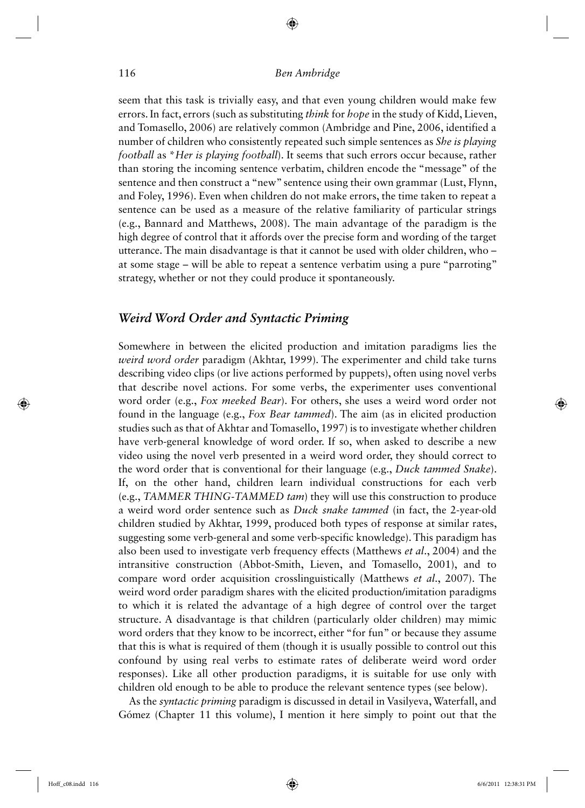$\bigoplus$ 

seem that this task is trivially easy, and that even young children would make few errors. In fact, errors (such as substituting *think* for *hope* in the study of Kidd, Lieven, and Tomasello, 2006) are relatively common (Ambridge and Pine, 2006, identified a number of children who consistently repeated such simple sentences as *She is playing football* as \**Her is playing football*). It seems that such errors occur because, rather than storing the incoming sentence verbatim, children encode the "message" of the sentence and then construct a "new" sentence using their own grammar (Lust, Flynn, and Foley, 1996). Even when children do not make errors, the time taken to repeat a sentence can be used as a measure of the relative familiarity of particular strings (e.g., Bannard and Matthews, 2008). The main advantage of the paradigm is the high degree of control that it affords over the precise form and wording of the target utterance. The main disadvantage is that it cannot be used with older children, who – at some stage – will be able to repeat a sentence verbatim using a pure "parroting" strategy, whether or not they could produce it spontaneously.

## *Weird Word Order and Syntactic Priming*

Somewhere in between the elicited production and imitation paradigms lies the *weird word order* paradigm (Akhtar, 1999). The experimenter and child take turns describing video clips (or live actions performed by puppets), often using novel verbs that describe novel actions. For some verbs, the experimenter uses conventional word order (e.g., *Fox meeked Bear*). For others, she uses a weird word order not found in the language (e.g., *Fox Bear tammed*). The aim (as in elicited production studies such as that of Akhtar and Tomasello, 1997) is to investigate whether children have verb-general knowledge of word order. If so, when asked to describe a new video using the novel verb presented in a weird word order, they should correct to the word order that is conventional for their language (e.g., *Duck tammed Snake*). If, on the other hand, children learn individual constructions for each verb (e.g., *TAMMER THING-TAMMED tam*) they will use this construction to produce a weird word order sentence such as *Duck snake tammed* (in fact, the 2-year-old children studied by Akhtar, 1999, produced both types of response at similar rates, suggesting some verb-general and some verb-specific knowledge). This paradigm has also been used to investigate verb frequency effects (Matthews *et al*., 2004) and the intransitive construction (Abbot-Smith, Lieven, and Tomasello, 2001), and to compare word order acquisition crosslinguistically (Matthews *et al*., 2007). The weird word order paradigm shares with the elicited production/imitation paradigms to which it is related the advantage of a high degree of control over the target structure. A disadvantage is that children (particularly older children) may mimic word orders that they know to be incorrect, either "for fun" or because they assume that this is what is required of them (though it is usually possible to control out this confound by using real verbs to estimate rates of deliberate weird word order responses). Like all other production paradigms, it is suitable for use only with children old enough to be able to produce the relevant sentence types (see below).

As the *syntactic priming* paradigm is discussed in detail in Vasilyeva, Waterfall, and Gómez (Chapter 11 this volume), I mention it here simply to point out that the

⊕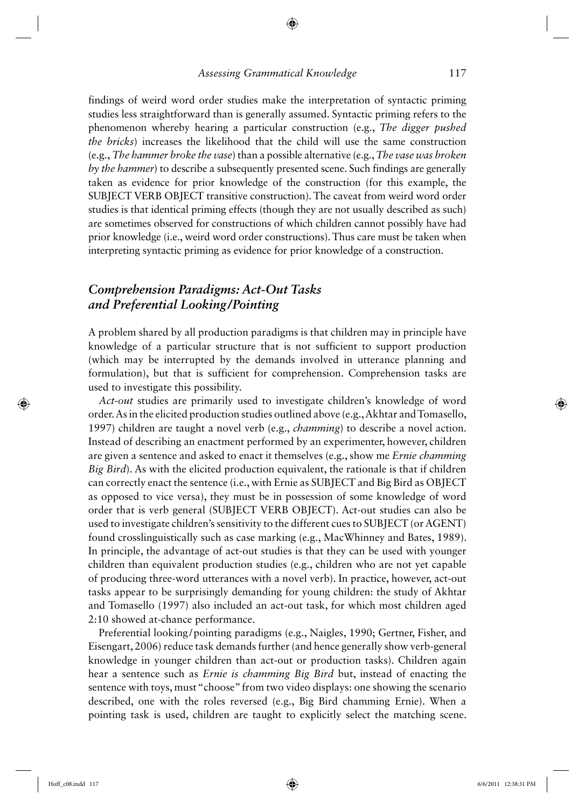#### *Assessing Grammatical Knowledge* 117

⊕

findings of weird word order studies make the interpretation of syntactic priming studies less straightforward than is generally assumed. Syntactic priming refers to the phenomenon whereby hearing a particular construction (e.g., *The digger pushed the bricks*) increases the likelihood that the child will use the same construction (e.g., *The hammer broke the vase*) than a possible alternative (e.g., *The vase was broken by the hammer*) to describe a subsequently presented scene. Such findings are generally taken as evidence for prior knowledge of the construction (for this example, the SUBJECT VERB OBJECT transitive construction). The caveat from weird word order studies is that identical priming effects (though they are not usually described as such) are sometimes observed for constructions of which children cannot possibly have had prior knowledge (i.e., weird word order constructions). Thus care must be taken when interpreting syntactic priming as evidence for prior knowledge of a construction.

# *Comprehension Paradigms: Act-Out Tasks and Preferential Looking/Pointing*

A problem shared by all production paradigms is that children may in principle have knowledge of a particular structure that is not sufficient to support production (which may be interrupted by the demands involved in utterance planning and formulation), but that is sufficient for comprehension. Comprehension tasks are used to investigate this possibility.

*Act-out* studies are primarily used to investigate children's knowledge of word order. As in the elicited production studies outlined above (e.g., Akhtar and Tomasello, 1997) children are taught a novel verb (e.g., *chamming*) to describe a novel action. Instead of describing an enactment performed by an experimenter, however, children are given a sentence and asked to enact it themselves (e.g., show me *Ernie chamming Big Bird*). As with the elicited production equivalent, the rationale is that if children can correctly enact the sentence (i.e., with Ernie as SUBJECT and Big Bird as OBJECT as opposed to vice versa), they must be in possession of some knowledge of word order that is verb general (SUBJECT VERB OBJECT). Act-out studies can also be used to investigate children's sensitivity to the different cues to SUBJECT (or AGENT) found crosslinguistically such as case marking (e.g., MacWhinney and Bates, 1989). In principle, the advantage of act-out studies is that they can be used with younger children than equivalent production studies (e.g., children who are not yet capable of producing three-word utterances with a novel verb). In practice, however, act-out tasks appear to be surprisingly demanding for young children: the study of Akhtar and Tomasello (1997) also included an act-out task, for which most children aged 2:10 showed at-chance performance.

Preferential looking/pointing paradigms (e.g., Naigles, 1990; Gertner, Fisher, and Eisengart, 2006) reduce task demands further (and hence generally show verb-general knowledge in younger children than act-out or production tasks). Children again hear a sentence such as *Ernie is chamming Big Bird* but, instead of enacting the sentence with toys, must "choose" from two video displays: one showing the scenario described, one with the roles reversed (e.g., Big Bird chamming Ernie). When a pointing task is used, children are taught to explicitly select the matching scene.

⊕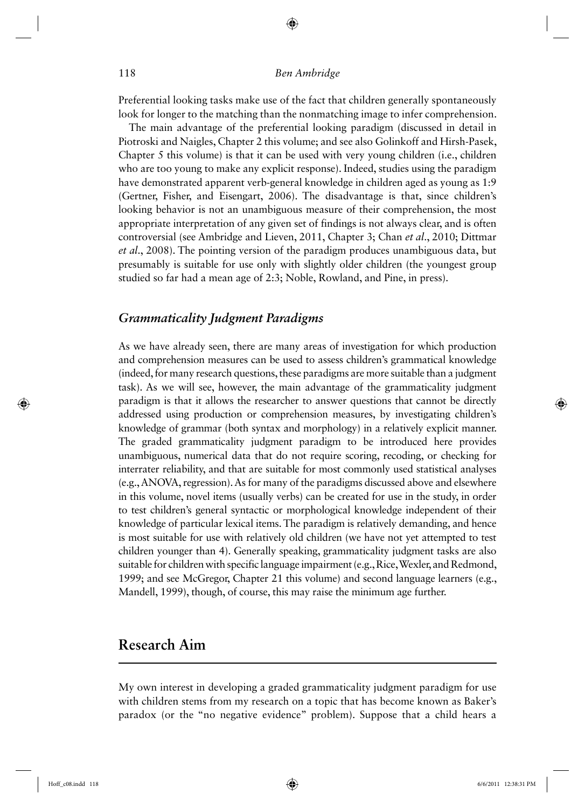$\bigoplus$ 

Preferential looking tasks make use of the fact that children generally spontaneously look for longer to the matching than the nonmatching image to infer comprehension.

The main advantage of the preferential looking paradigm (discussed in detail in Piotroski and Naigles, Chapter 2 this volume; and see also Golinkoff and Hirsh-Pasek, Chapter 5 this volume) is that it can be used with very young children (i.e., children who are too young to make any explicit response). Indeed, studies using the paradigm have demonstrated apparent verb-general knowledge in children aged as young as 1:9 (Gertner, Fisher, and Eisengart, 2006). The disadvantage is that, since children's looking behavior is not an unambiguous measure of their comprehension, the most appropriate interpretation of any given set of findings is not always clear, and is often controversial (see Ambridge and Lieven, 2011, Chapter 3; Chan *et al*., 2010; Dittmar *et al*., 2008). The pointing version of the paradigm produces unambiguous data, but presumably is suitable for use only with slightly older children (the youngest group studied so far had a mean age of 2:3; Noble, Rowland, and Pine, in press).

## *Grammaticality Judgment Paradigms*

As we have already seen, there are many areas of investigation for which production and comprehension measures can be used to assess children's grammatical knowledge (indeed, for many research questions, these paradigms are more suitable than a judgment task). As we will see, however, the main advantage of the grammaticality judgment paradigm is that it allows the researcher to answer questions that cannot be directly addressed using production or comprehension measures, by investigating children's knowledge of grammar (both syntax and morphology) in a relatively explicit manner. The graded grammaticality judgment paradigm to be introduced here provides unambiguous, numerical data that do not require scoring, recoding, or checking for interrater reliability, and that are suitable for most commonly used statistical analyses (e.g., ANOVA, regression). As for many of the paradigms discussed above and elsewhere in this volume, novel items (usually verbs) can be created for use in the study, in order to test children's general syntactic or morphological knowledge independent of their knowledge of particular lexical items. The paradigm is relatively demanding, and hence is most suitable for use with relatively old children (we have not yet attempted to test children younger than 4). Generally speaking, grammaticality judgment tasks are also suitable for children with specific language impairment (e.g., Rice, Wexler, and Redmond, 1999; and see McGregor, Chapter 21 this volume) and second language learners (e.g., Mandell, 1999), though, of course, this may raise the minimum age further.

# **Research Aim**

My own interest in developing a graded grammaticality judgment paradigm for use with children stems from my research on a topic that has become known as Baker's paradox (or the "no negative evidence" problem). Suppose that a child hears a

⊕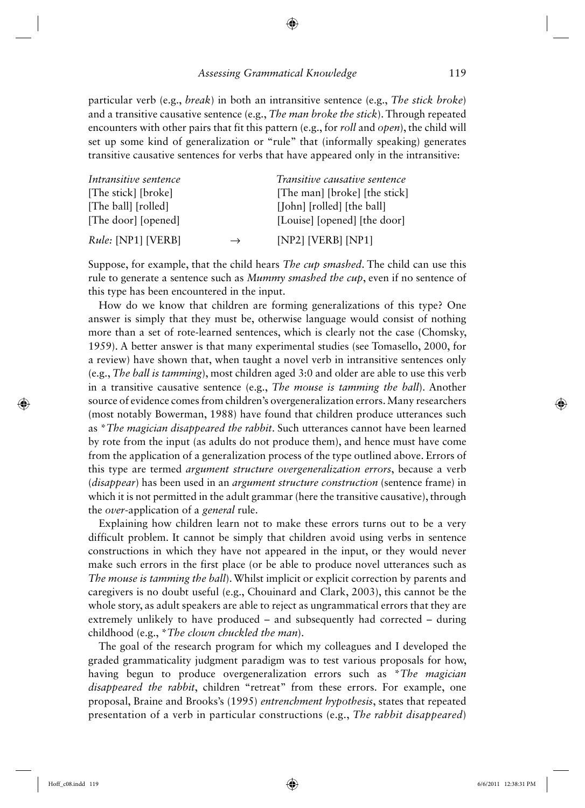#### *Assessing Grammatical Knowledge* 119

⊕

particular verb (e.g., *break*) in both an intransitive sentence (e.g., *The stick broke*) and a transitive causative sentence (e.g., *The man broke the stick*). Through repeated encounters with other pairs that fit this pattern (e.g., for *roll* and *open*), the child will set up some kind of generalization or "rule" that (informally speaking) generates transitive causative sentences for verbs that have appeared only in the intransitive:

| Intransitive sentence |               | <i>Transitive causative sentence</i> |
|-----------------------|---------------|--------------------------------------|
| [The stick] [broke]   |               | [The man] [broke] [the stick]        |
| [The ball] [rolled]   |               | [John] [rolled] [the ball]           |
| [The door] [opened]   |               | [Louise] [opened] [the door]         |
| Rule: [NP1] [VERB]    | $\rightarrow$ | [NP2] [VERB] [NP1]                   |

Suppose, for example, that the child hears *The cup smashed*. The child can use this rule to generate a sentence such as *Mummy smashed the cup*, even if no sentence of this type has been encountered in the input.

How do we know that children are forming generalizations of this type? One answer is simply that they must be, otherwise language would consist of nothing more than a set of rote-learned sentences, which is clearly not the case (Chomsky, 1959). A better answer is that many experimental studies (see Tomasello, 2000, for a review) have shown that, when taught a novel verb in intransitive sentences only (e.g., *The ball is tamming*), most children aged 3:0 and older are able to use this verb in a transitive causative sentence (e.g., *The mouse is tamming the ball*). Another source of evidence comes from children's overgeneralization errors. Many researchers (most notably Bowerman, 1988) have found that children produce utterances such as \**The magician disappeared the rabbit*. Such utterances cannot have been learned by rote from the input (as adults do not produce them), and hence must have come from the application of a generalization process of the type outlined above. Errors of this type are termed *argument structure overgeneralization errors*, because a verb (*disappear*) has been used in an *argument structure construction* (sentence frame) in which it is not permitted in the adult grammar (here the transitive causative), through the *over*-application of a *general* rule.

Explaining how children learn not to make these errors turns out to be a very difficult problem. It cannot be simply that children avoid using verbs in sentence constructions in which they have not appeared in the input, or they would never make such errors in the first place (or be able to produce novel utterances such as *The mouse is tamming the ball*). Whilst implicit or explicit correction by parents and caregivers is no doubt useful (e.g., Chouinard and Clark, 2003), this cannot be the whole story, as adult speakers are able to reject as ungrammatical errors that they are extremely unlikely to have produced – and subsequently had corrected – during childhood (e.g., \**The clown chuckled the man*).

The goal of the research program for which my colleagues and I developed the graded grammaticality judgment paradigm was to test various proposals for how, having begun to produce overgeneralization errors such as \**The magician disappeared the rabbit*, children "retreat" from these errors. For example, one proposal, Braine and Brooks's (1995) *entrenchment hypothesis*, states that repeated presentation of a verb in particular constructions (e.g., *The rabbit disappeared*)

⊕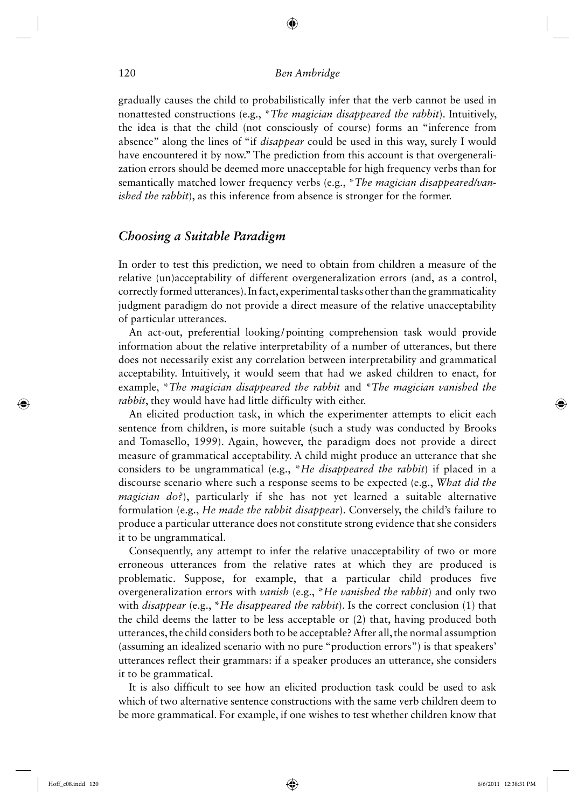⊕

gradually causes the child to probabilistically infer that the verb cannot be used in nonattested constructions (e.g., \**The magician disappeared the rabbit*). Intuitively, the idea is that the child (not consciously of course) forms an "inference from absence" along the lines of "if *disappear* could be used in this way, surely I would have encountered it by now." The prediction from this account is that overgeneralization errors should be deemed more unacceptable for high frequency verbs than for semantically matched lower frequency verbs (e.g., \**The magician disappeared/vanished the rabbit*), as this inference from absence is stronger for the former.

# *Choosing a Suitable Paradigm*

In order to test this prediction, we need to obtain from children a measure of the relative (un)acceptability of different overgeneralization errors (and, as a control, correctly formed utterances). In fact, experimental tasks other than the grammaticality judgment paradigm do not provide a direct measure of the relative unacceptability of particular utterances.

An act-out, preferential looking/pointing comprehension task would provide information about the relative interpretability of a number of utterances, but there does not necessarily exist any correlation between interpretability and grammatical acceptability. Intuitively, it would seem that had we asked children to enact, for example, \**The magician disappeared the rabbit* and \**The magician vanished the rabbit*, they would have had little difficulty with either.

An elicited production task, in which the experimenter attempts to elicit each sentence from children, is more suitable (such a study was conducted by Brooks and Tomasello, 1999). Again, however, the paradigm does not provide a direct measure of grammatical acceptability. A child might produce an utterance that she considers to be ungrammatical (e.g., \**He disappeared the rabbit*) if placed in a discourse scenario where such a response seems to be expected (e.g., *What did the magician do?*), particularly if she has not yet learned a suitable alternative formulation (e.g., *He made the rabbit disappear*). Conversely, the child's failure to produce a particular utterance does not constitute strong evidence that she considers it to be ungrammatical.

Consequently, any attempt to infer the relative unacceptability of two or more erroneous utterances from the relative rates at which they are produced is problematic. Suppose, for example, that a particular child produces five overgeneralization errors with *vanish* (e.g., \**He vanished the rabbit*) and only two with *disappear* (e.g., \**He disappeared the rabbit*). Is the correct conclusion (1) that the child deems the latter to be less acceptable or (2) that, having produced both utterances, the child considers both to be acceptable? After all, the normal assumption (assuming an idealized scenario with no pure "production errors") is that speakers' utterances reflect their grammars: if a speaker produces an utterance, she considers it to be grammatical.

It is also difficult to see how an elicited production task could be used to ask which of two alternative sentence constructions with the same verb children deem to be more grammatical. For example, if one wishes to test whether children know that

⊕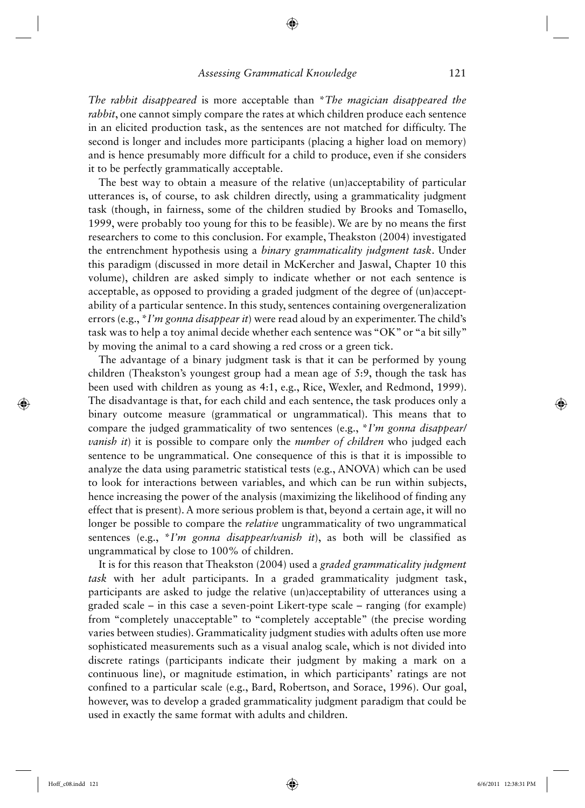*The rabbit disappeared* is more acceptable than \**The magician disappeared the rabbit*, one cannot simply compare the rates at which children produce each sentence in an elicited production task, as the sentences are not matched for difficulty. The second is longer and includes more participants (placing a higher load on memory) and is hence presumably more difficult for a child to produce, even if she considers it to be perfectly grammatically acceptable.

The best way to obtain a measure of the relative (un)acceptability of particular utterances is, of course, to ask children directly, using a grammaticality judgment task (though, in fairness, some of the children studied by Brooks and Tomasello, 1999, were probably too young for this to be feasible). We are by no means the first researchers to come to this conclusion. For example, Theakston (2004) investigated the entrenchment hypothesis using a *binary grammaticality judgment task*. Under this paradigm (discussed in more detail in McKercher and Jaswal, Chapter 10 this volume), children are asked simply to indicate whether or not each sentence is acceptable, as opposed to providing a graded judgment of the degree of (un)acceptability of a particular sentence. In this study, sentences containing overgeneralization errors (e.g., \**I'm gonna disappear it*) were read aloud by an experimenter. The child's task was to help a toy animal decide whether each sentence was "OK" or "a bit silly" by moving the animal to a card showing a red cross or a green tick.

The advantage of a binary judgment task is that it can be performed by young children (Theakston's youngest group had a mean age of 5:9, though the task has been used with children as young as 4:1, e.g., Rice, Wexler, and Redmond, 1999). The disadvantage is that, for each child and each sentence, the task produces only a binary outcome measure (grammatical or ungrammatical). This means that to compare the judged grammaticality of two sentences (e.g., \**I'm gonna disappear/ vanish it*) it is possible to compare only the *number of children* who judged each sentence to be ungrammatical. One consequence of this is that it is impossible to analyze the data using parametric statistical tests (e.g., ANOVA) which can be used to look for interactions between variables, and which can be run within subjects, hence increasing the power of the analysis (maximizing the likelihood of finding any effect that is present). A more serious problem is that, beyond a certain age, it will no longer be possible to compare the *relative* ungrammaticality of two ungrammatical sentences (e.g., \**I'm gonna disappear/vanish it*), as both will be classified as ungrammatical by close to 100% of children.

It is for this reason that Theakston (2004) used a *graded grammaticality judgment task* with her adult participants. In a graded grammaticality judgment task, participants are asked to judge the relative (un)acceptability of utterances using a graded scale – in this case a seven-point Likert-type scale – ranging (for example) from "completely unacceptable" to "completely acceptable" (the precise wording varies between studies). Grammaticality judgment studies with adults often use more sophisticated measurements such as a visual analog scale, which is not divided into discrete ratings (participants indicate their judgment by making a mark on a continuous line), or magnitude estimation, in which participants' ratings are not confined to a particular scale (e.g., Bard, Robertson, and Sorace, 1996). Our goal, however, was to develop a graded grammaticality judgment paradigm that could be used in exactly the same format with adults and children.

⊕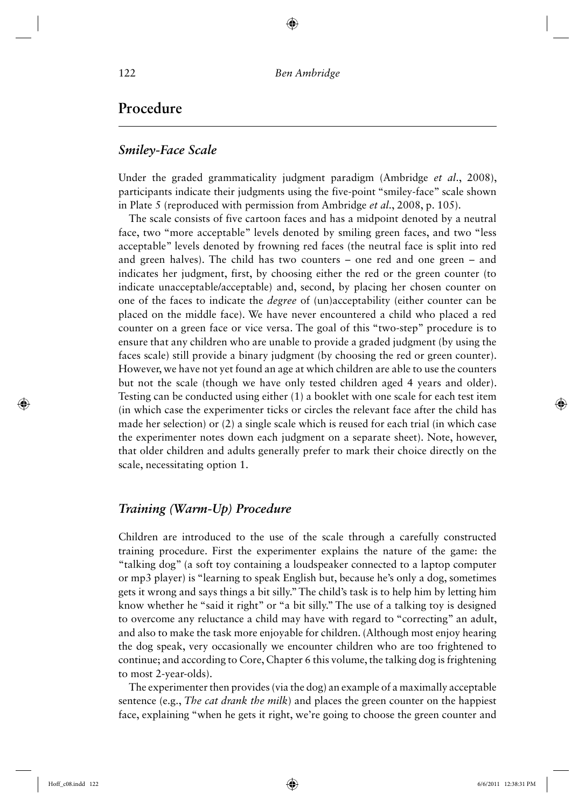# **Procedure**

# *Smiley-Face Scale*

Under the graded grammaticality judgment paradigm (Ambridge *et al*., 2008), participants indicate their judgments using the five-point "smiley-face" scale shown in Plate 5 (reproduced with permission from Ambridge *et al*., 2008, p. 105).

The scale consists of five cartoon faces and has a midpoint denoted by a neutral face, two "more acceptable" levels denoted by smiling green faces, and two "less acceptable" levels denoted by frowning red faces (the neutral face is split into red and green halves). The child has two counters – one red and one green – and indicates her judgment, first, by choosing either the red or the green counter (to indicate unacceptable/acceptable) and, second, by placing her chosen counter on one of the faces to indicate the *degree* of (un)acceptability (either counter can be placed on the middle face). We have never encountered a child who placed a red counter on a green face or vice versa. The goal of this "two-step" procedure is to ensure that any children who are unable to provide a graded judgment (by using the faces scale) still provide a binary judgment (by choosing the red or green counter). However, we have not yet found an age at which children are able to use the counters but not the scale (though we have only tested children aged 4 years and older). Testing can be conducted using either (1) a booklet with one scale for each test item (in which case the experimenter ticks or circles the relevant face after the child has made her selection) or (2) a single scale which is reused for each trial (in which case the experimenter notes down each judgment on a separate sheet). Note, however, that older children and adults generally prefer to mark their choice directly on the scale, necessitating option 1.

## *Training (Warm-Up) Procedure*

Children are introduced to the use of the scale through a carefully constructed training procedure. First the experimenter explains the nature of the game: the "talking dog" (a soft toy containing a loudspeaker connected to a laptop computer or mp3 player) is "learning to speak English but, because he's only a dog, sometimes gets it wrong and says things a bit silly." The child's task is to help him by letting him know whether he "said it right" or "a bit silly." The use of a talking toy is designed to overcome any reluctance a child may have with regard to "correcting" an adult, and also to make the task more enjoyable for children. (Although most enjoy hearing the dog speak, very occasionally we encounter children who are too frightened to continue; and according to Core, Chapter 6 this volume, the talking dog is frightening to most 2-year-olds).

The experimenter then provides (via the dog) an example of a maximally acceptable sentence (e.g., *The cat drank the milk*) and places the green counter on the happiest face, explaining "when he gets it right, we're going to choose the green counter and

⊕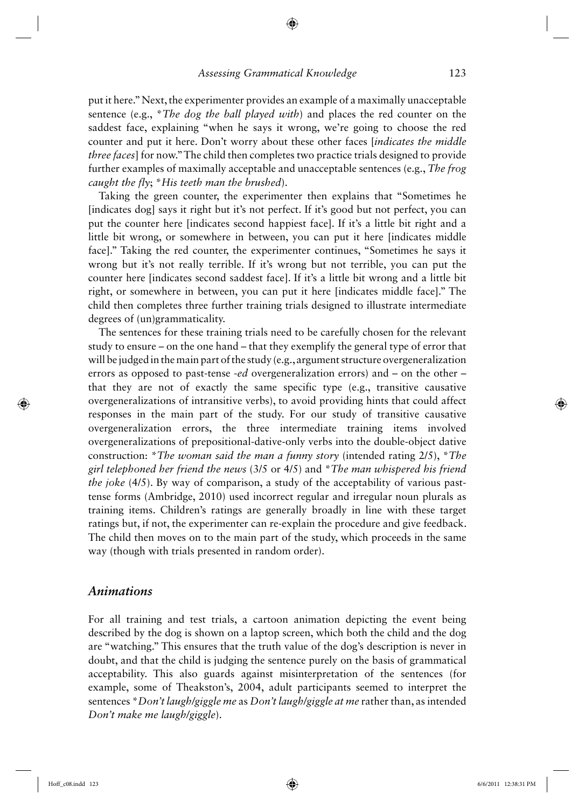put it here." Next, the experimenter provides an example of a maximally unacceptable sentence (e.g., \**The dog the ball played with*) and places the red counter on the saddest face, explaining "when he says it wrong, we're going to choose the red counter and put it here. Don't worry about these other faces [*indicates the middle three faces*] for now." The child then completes two practice trials designed to provide further examples of maximally acceptable and unacceptable sentences (e.g., *The frog caught the fly*; \**His teeth man the brushed*).

Taking the green counter, the experimenter then explains that "Sometimes he [indicates dog] says it right but it's not perfect. If it's good but not perfect, you can put the counter here [indicates second happiest face]. If it's a little bit right and a little bit wrong, or somewhere in between, you can put it here [indicates middle face]." Taking the red counter, the experimenter continues, "Sometimes he says it wrong but it's not really terrible. If it's wrong but not terrible, you can put the counter here [indicates second saddest face]. If it's a little bit wrong and a little bit right, or somewhere in between, you can put it here [indicates middle face]." The child then completes three further training trials designed to illustrate intermediate degrees of (un)grammaticality.

The sentences for these training trials need to be carefully chosen for the relevant study to ensure – on the one hand – that they exemplify the general type of error that will be judged in the main part of the study (e.g., argument structure overgeneralization errors as opposed to past-tense -*ed* overgeneralization errors) and – on the other – that they are not of exactly the same specific type (e.g., transitive causative overgeneralizations of intransitive verbs), to avoid providing hints that could affect responses in the main part of the study. For our study of transitive causative overgeneralization errors, the three intermediate training items involved overgeneralizations of prepositional-dative-only verbs into the double-object dative construction: \**The woman said the man a funny story* (intended rating 2/5), \**The girl telephoned her friend the news* (3/5 or 4/5) and \**The man whispered his friend the joke* (4/5). By way of comparison, a study of the acceptability of various pasttense forms (Ambridge, 2010) used incorrect regular and irregular noun plurals as training items. Children's ratings are generally broadly in line with these target ratings but, if not, the experimenter can re-explain the procedure and give feedback. The child then moves on to the main part of the study, which proceeds in the same way (though with trials presented in random order).

# *Animations*

For all training and test trials, a cartoon animation depicting the event being described by the dog is shown on a laptop screen, which both the child and the dog are "watching." This ensures that the truth value of the dog's description is never in doubt, and that the child is judging the sentence purely on the basis of grammatical acceptability. This also guards against misinterpretation of the sentences (for example, some of Theakston's, 2004, adult participants seemed to interpret the sentences \**Don't laugh/giggle me* as *Don't laugh/giggle at me* rather than, as intended *Don't make me laugh/giggle*).

⊕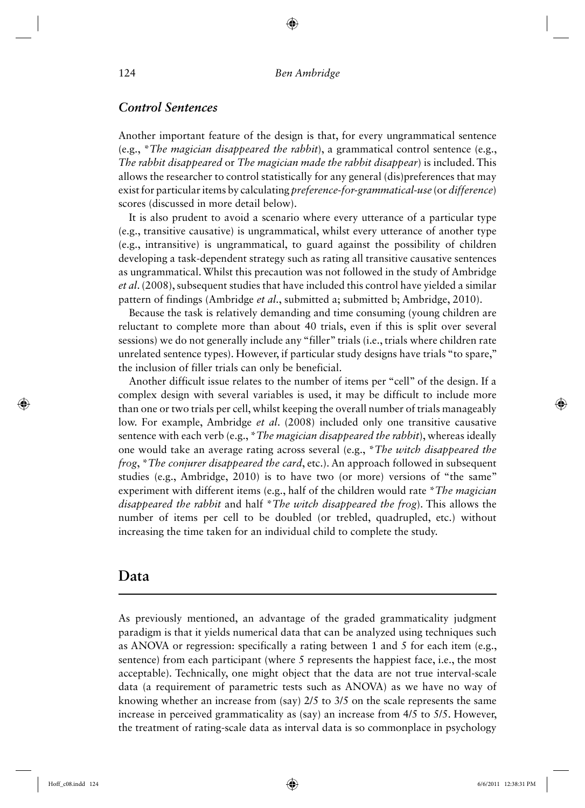# *Control Sentences*

Another important feature of the design is that, for every ungrammatical sentence (e.g., \**The magician disappeared the rabbit*), a grammatical control sentence (e.g., *The rabbit disappeared* or *The magician made the rabbit disappear*) is included. This allows the researcher to control statistically for any general (dis)preferences that may exist for particular items by calculating *preference-for-grammatical-use* (or *difference*) scores (discussed in more detail below).

It is also prudent to avoid a scenario where every utterance of a particular type (e.g., transitive causative) is ungrammatical, whilst every utterance of another type (e.g., intransitive) is ungrammatical, to guard against the possibility of children developing a task-dependent strategy such as rating all transitive causative sentences as ungrammatical. Whilst this precaution was not followed in the study of Ambridge *et al*. (2008), subsequent studies that have included this control have yielded a similar pattern of findings (Ambridge *et al*., submitted a; submitted b; Ambridge, 2010).

Because the task is relatively demanding and time consuming (young children are reluctant to complete more than about 40 trials, even if this is split over several sessions) we do not generally include any "filler" trials (i.e., trials where children rate unrelated sentence types). However, if particular study designs have trials "to spare," the inclusion of filler trials can only be beneficial.

Another difficult issue relates to the number of items per "cell" of the design. If a complex design with several variables is used, it may be difficult to include more than one or two trials per cell, whilst keeping the overall number of trials manageably low. For example, Ambridge *et al*. (2008) included only one transitive causative sentence with each verb (e.g., \**The magician disappeared the rabbit*), whereas ideally one would take an average rating across several (e.g., \**The witch disappeared the frog*, \**The conjurer disappeared the card*, etc.). An approach followed in subsequent studies (e.g., Ambridge, 2010) is to have two (or more) versions of "the same" experiment with different items (e.g., half of the children would rate \**The magician disappeared the rabbit* and half \**The witch disappeared the frog*). This allows the number of items per cell to be doubled (or trebled, quadrupled, etc.) without increasing the time taken for an individual child to complete the study.

# **Data**

As previously mentioned, an advantage of the graded grammaticality judgment paradigm is that it yields numerical data that can be analyzed using techniques such as ANOVA or regression: specifically a rating between 1 and 5 for each item (e.g., sentence) from each participant (where 5 represents the happiest face, i.e., the most acceptable). Technically, one might object that the data are not true interval-scale data (a requirement of parametric tests such as ANOVA) as we have no way of knowing whether an increase from (say) 2/5 to 3/5 on the scale represents the same increase in perceived grammaticality as (say) an increase from 4/5 to 5/5. However, the treatment of rating-scale data as interval data is so commonplace in psychology

⊕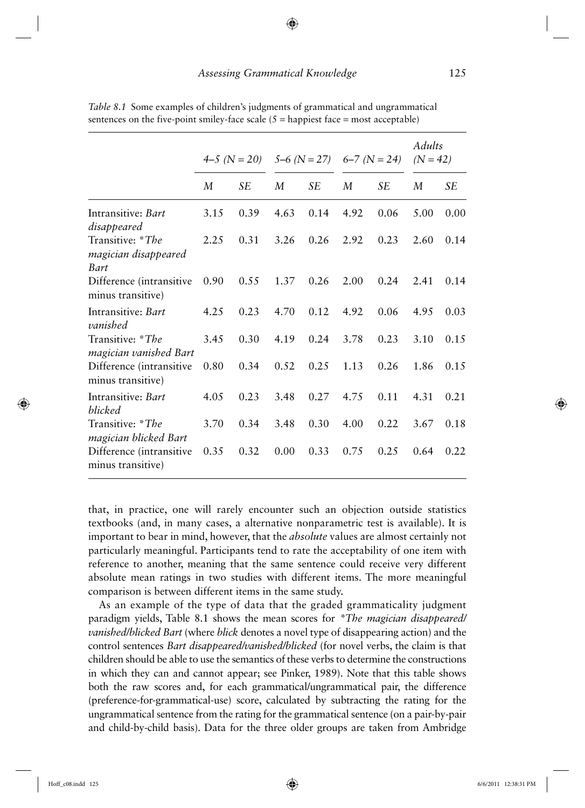|                                                  |      |      |      |      | $4-5$ (N = 20) $5-6$ (N = 27) $6-7$ (N = 24) |      | Adults<br>$(N = 42)$ |      |
|--------------------------------------------------|------|------|------|------|----------------------------------------------|------|----------------------|------|
|                                                  | M    | SE   | M    | SE   | M                                            | SЕ   | M                    | SE   |
| Intransitive: Bart<br>disappeared                | 3.15 | 0.39 | 4.63 | 0.14 | 4.92                                         | 0.06 | 5.00                 | 0.00 |
| Transitive: *The<br>magician disappeared<br>Bart | 2.25 | 0.31 | 3.26 | 0.26 | 2.92                                         | 0.23 | 2.60                 | 0.14 |
| Difference (intransitive<br>minus transitive)    | 0.90 | 0.55 | 1.37 | 0.26 | 2.00                                         | 0.24 | 2.41                 | 0.14 |
| Intransitive: Bart<br>vanished                   | 4.25 | 0.23 | 4.70 | 0.12 | 4.92                                         | 0.06 | 4.95                 | 0.03 |
| Transitive: *The<br>magician vanished Bart       | 3.45 | 0.30 | 4.19 | 0.24 | 3.78                                         | 0.23 | 3.10                 | 0.15 |
| Difference (intransitive<br>minus transitive)    | 0.80 | 0.34 | 0.52 | 0.25 | 1.13                                         | 0.26 | 1.86                 | 0.15 |
| Intransitive: Bart<br>blicked                    | 4.05 | 0.23 | 3.48 | 0.27 | 4.75                                         | 0.11 | 4.31                 | 0.21 |
| Transitive: *The<br>magician blicked Bart        | 3.70 | 0.34 | 3.48 | 0.30 | 4.00                                         | 0.22 | 3.67                 | 0.18 |
| Difference (intransitive<br>minus transitive)    | 0.35 | 0.32 | 0.00 | 0.33 | 0.75                                         | 0.25 | 0.64                 | 0.22 |

*Table 8.1* Some examples of children's judgments of grammatical and ungrammatical sentences on the five-point smiley-face scale  $(5 =$  happiest face  $=$  most acceptable)

that, in practice, one will rarely encounter such an objection outside statistics textbooks (and, in many cases, a alternative nonparametric test is available). It is important to bear in mind, however, that the *absolute* values are almost certainly not particularly meaningful. Participants tend to rate the acceptability of one item with reference to another, meaning that the same sentence could receive very different absolute mean ratings in two studies with different items. The more meaningful comparison is between different items in the same study.

As an example of the type of data that the graded grammaticality judgment paradigm yields, Table 8.1 shows the mean scores for *\*The magician disappeared/ vanished/blicked Bart* (where *blick* denotes a novel type of disappearing action) and the control sentences *Bart disappeared/vanished/blicked* (for novel verbs, the claim is that children should be able to use the semantics of these verbs to determine the constructions in which they can and cannot appear; see Pinker, 1989). Note that this table shows both the raw scores and, for each grammatical/ungrammatical pair, the difference (preference-for-grammatical-use) score, calculated by subtracting the rating for the ungrammatical sentence from the rating for the grammatical sentence (on a pair-by-pair and child-by-child basis). Data for the three older groups are taken from Ambridge

⊕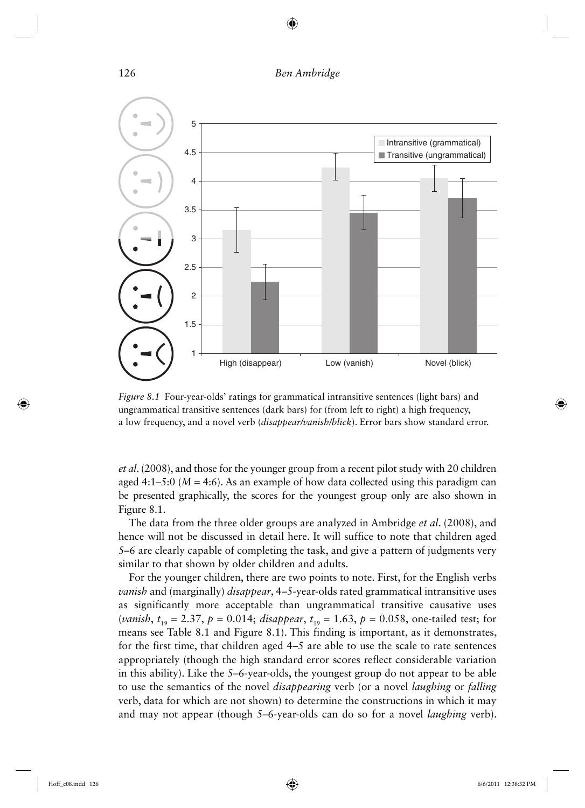⊕



*Figure 8.1* Four-year-olds' ratings for grammatical intransitive sentences (light bars) and ungrammatical transitive sentences (dark bars) for (from left to right) a high frequency, a low frequency, and a novel verb (*disappear/vanish/blick*). Error bars show standard error.

*et al*. (2008), and those for the younger group from a recent pilot study with 20 children aged 4:1–5:0 (*M* = 4:6). As an example of how data collected using this paradigm can be presented graphically, the scores for the youngest group only are also shown in Figure 8.1.

The data from the three older groups are analyzed in Ambridge *et al*. (2008), and hence will not be discussed in detail here. It will suffice to note that children aged 5–6 are clearly capable of completing the task, and give a pattern of judgments very similar to that shown by older children and adults.

For the younger children, there are two points to note. First, for the English verbs *vanish* and (marginally) *disappear*, 4–5-year-olds rated grammatical intransitive uses as significantly more acceptable than ungrammatical transitive causative uses (*vanish*,  $t_{19} = 2.37$ ,  $p = 0.014$ ; *disappear*,  $t_{19} = 1.63$ ,  $p = 0.058$ , one-tailed test; for means see Table 8.1 and Figure 8.1). This finding is important, as it demonstrates, for the first time, that children aged 4–5 are able to use the scale to rate sentences appropriately (though the high standard error scores reflect considerable variation in this ability). Like the 5–6-year-olds, the youngest group do not appear to be able to use the semantics of the novel *disappearing* verb (or a novel *laughing* or *falling* verb, data for which are not shown) to determine the constructions in which it may and may not appear (though 5–6-year-olds can do so for a novel *laughing* verb).

⊕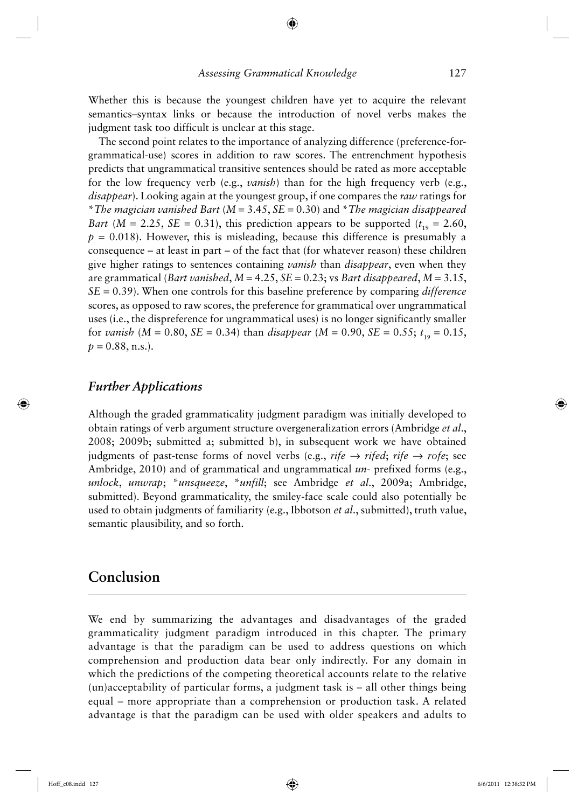Whether this is because the youngest children have yet to acquire the relevant semantics–syntax links or because the introduction of novel verbs makes the judgment task too difficult is unclear at this stage.

The second point relates to the importance of analyzing difference (preference-forgrammatical-use) scores in addition to raw scores. The entrenchment hypothesis predicts that ungrammatical transitive sentences should be rated as more acceptable for the low frequency verb (e.g., *vanish*) than for the high frequency verb (e.g., *disappear*). Looking again at the youngest group, if one compares the *raw* ratings for \**The magician vanished Bart* (*M* = 3.45, *SE* = 0.30) and \**The magician disappeared Bart* (*M* = 2.25, *SE* = 0.31), this prediction appears to be supported ( $t_{19}$  = 2.60,  $p = 0.018$ ). However, this is misleading, because this difference is presumably a consequence – at least in part – of the fact that (for whatever reason) these children give higher ratings to sentences containing *vanish* than *disappear*, even when they are grammatical (*Bart vanished*, *M* = 4.25, *SE* = 0.23; vs *Bart disappeared*, *M* = 3.15, *SE* = 0.39). When one controls for this baseline preference by comparing *difference* scores, as opposed to raw scores, the preference for grammatical over ungrammatical uses (i.e., the dispreference for ungrammatical uses) is no longer significantly smaller for *vanish* ( $M = 0.80$ ,  $SE = 0.34$ ) than *disappear* ( $M = 0.90$ ,  $SE = 0.55$ ;  $t_{19} = 0.15$ ,  $p = 0.88$ , n.s.).

#### *Further Applications*

⊕

Although the graded grammaticality judgment paradigm was initially developed to obtain ratings of verb argument structure overgeneralization errors (Ambridge *et al*., 2008; 2009b; submitted a; submitted b), in subsequent work we have obtained judgments of past-tense forms of novel verbs (e.g.,  $\text{rife} \rightarrow \text{rifed}$ ;  $\text{rife} \rightarrow \text{rofe}$ ; see Ambridge, 2010) and of grammatical and ungrammatical *un*- prefixed forms (e.g., *unlock*, *unwrap*; \**unsqueeze*, \**unfill*; see Ambridge *et al*., 2009a; Ambridge, submitted). Beyond grammaticality, the smiley-face scale could also potentially be used to obtain judgments of familiarity (e.g., Ibbotson *et al*., submitted), truth value, semantic plausibility, and so forth.

# **Conclusion**

We end by summarizing the advantages and disadvantages of the graded grammaticality judgment paradigm introduced in this chapter. The primary advantage is that the paradigm can be used to address questions on which comprehension and production data bear only indirectly. For any domain in which the predictions of the competing theoretical accounts relate to the relative (un)acceptability of particular forms, a judgment task is – all other things being equal – more appropriate than a comprehension or production task. A related advantage is that the paradigm can be used with older speakers and adults to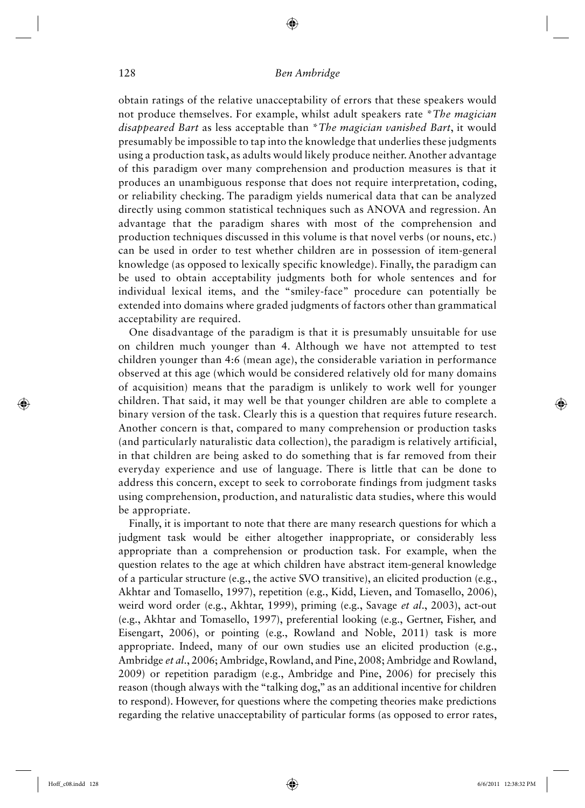⊕

obtain ratings of the relative unacceptability of errors that these speakers would not produce themselves. For example, whilst adult speakers rate \**The magician disappeared Bart* as less acceptable than \**The magician vanished Bart*, it would presumably be impossible to tap into the knowledge that underlies these judgments using a production task, as adults would likely produce neither. Another advantage of this paradigm over many comprehension and production measures is that it produces an unambiguous response that does not require interpretation, coding, or reliability checking. The paradigm yields numerical data that can be analyzed directly using common statistical techniques such as ANOVA and regression. An advantage that the paradigm shares with most of the comprehension and production techniques discussed in this volume is that novel verbs (or nouns, etc.) can be used in order to test whether children are in possession of item-general knowledge (as opposed to lexically specific knowledge). Finally, the paradigm can be used to obtain acceptability judgments both for whole sentences and for individual lexical items, and the "smiley-face" procedure can potentially be extended into domains where graded judgments of factors other than grammatical acceptability are required.

One disadvantage of the paradigm is that it is presumably unsuitable for use on children much younger than 4. Although we have not attempted to test children younger than 4:6 (mean age), the considerable variation in performance observed at this age (which would be considered relatively old for many domains of acquisition) means that the paradigm is unlikely to work well for younger children. That said, it may well be that younger children are able to complete a binary version of the task. Clearly this is a question that requires future research. Another concern is that, compared to many comprehension or production tasks (and particularly naturalistic data collection), the paradigm is relatively artificial, in that children are being asked to do something that is far removed from their everyday experience and use of language. There is little that can be done to address this concern, except to seek to corroborate findings from judgment tasks using comprehension, production, and naturalistic data studies, where this would be appropriate.

Finally, it is important to note that there are many research questions for which a judgment task would be either altogether inappropriate, or considerably less appropriate than a comprehension or production task. For example, when the question relates to the age at which children have abstract item-general knowledge of a particular structure (e.g., the active SVO transitive), an elicited production (e.g., Akhtar and Tomasello, 1997), repetition (e.g., Kidd, Lieven, and Tomasello, 2006), weird word order (e.g., Akhtar, 1999), priming (e.g., Savage *et al*., 2003), act-out (e.g., Akhtar and Tomasello, 1997), preferential looking (e.g., Gertner, Fisher, and Eisengart, 2006), or pointing (e.g., Rowland and Noble, 2011) task is more appropriate. Indeed, many of our own studies use an elicited production (e.g., Ambridge *et al*., 2006; Ambridge, Rowland, and Pine, 2008; Ambridge and Rowland, 2009) or repetition paradigm (e.g., Ambridge and Pine, 2006) for precisely this reason (though always with the "talking dog," as an additional incentive for children to respond). However, for questions where the competing theories make predictions regarding the relative unacceptability of particular forms (as opposed to error rates,

⊕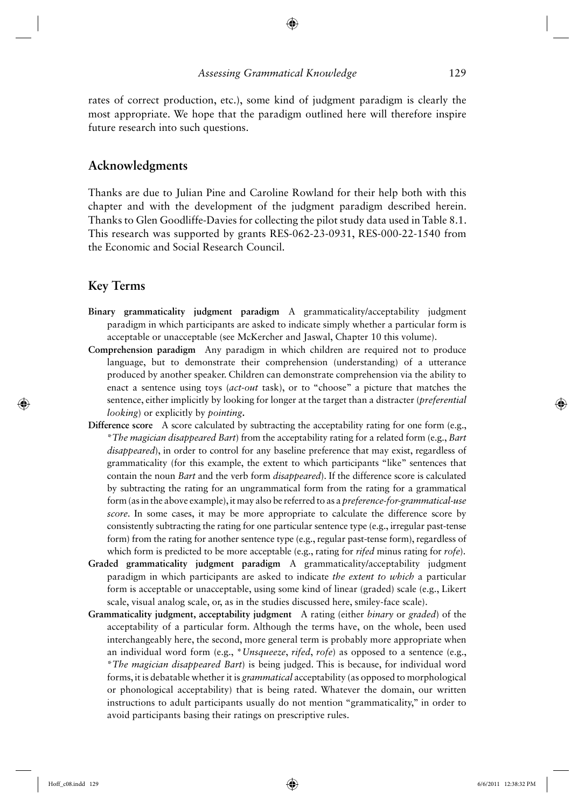rates of correct production, etc.), some kind of judgment paradigm is clearly the most appropriate. We hope that the paradigm outlined here will therefore inspire future research into such questions.

# **Acknowledgments**

Thanks are due to Julian Pine and Caroline Rowland for their help both with this chapter and with the development of the judgment paradigm described herein. Thanks to Glen Goodliffe-Davies for collecting the pilot study data used in Table 8.1. This research was supported by grants RES-062-23-0931, RES-000-22-1540 from the Economic and Social Research Council.

# **Key Terms**

- **Binary grammaticality judgment paradigm** A grammaticality/acceptability judgment paradigm in which participants are asked to indicate simply whether a particular form is acceptable or unacceptable (see McKercher and Jaswal, Chapter 10 this volume).
- **Comprehension paradigm** Any paradigm in which children are required not to produce language, but to demonstrate their comprehension (understanding) of a utterance produced by another speaker. Children can demonstrate comprehension via the ability to enact a sentence using toys (*act-out* task), or to "choose" a picture that matches the sentence, either implicitly by looking for longer at the target than a distracter (*preferential looking*) or explicitly by *pointing***.**
- **Difference score** A score calculated by subtracting the acceptability rating for one form (e.g., \**The magician disappeared Bart*) from the acceptability rating for a related form (e.g., *Bart disappeared*), in order to control for any baseline preference that may exist, regardless of grammaticality (for this example, the extent to which participants "like" sentences that contain the noun *Bart* and the verb form *disappeared*). If the difference score is calculated by subtracting the rating for an ungrammatical form from the rating for a grammatical form (as in the above example), it may also be referred to as a *preference-for-grammatical-use score*. In some cases, it may be more appropriate to calculate the difference score by consistently subtracting the rating for one particular sentence type (e.g., irregular past-tense form) from the rating for another sentence type (e.g., regular past-tense form), regardless of which form is predicted to be more acceptable (e.g., rating for *rifed* minus rating for *rofe*).
- **Graded grammaticality judgment paradigm** A grammaticality/acceptability judgment paradigm in which participants are asked to indicate *the extent to which* a particular form is acceptable or unacceptable, using some kind of linear (graded) scale (e.g., Likert scale, visual analog scale, or, as in the studies discussed here, smiley-face scale).
- **Grammaticality judgment, acceptability judgment** A rating (either *binary* or *graded*) of the acceptability of a particular form. Although the terms have, on the whole, been used interchangeably here, the second, more general term is probably more appropriate when an individual word form (e.g., \**Unsqueeze*, *rifed*, *rofe*) as opposed to a sentence (e.g., \**The magician disappeared Bart*) is being judged. This is because, for individual word forms, it is debatable whether it is *grammatical* acceptability (as opposed to morphological or phonological acceptability) that is being rated. Whatever the domain, our written instructions to adult participants usually do not mention "grammaticality," in order to avoid participants basing their ratings on prescriptive rules.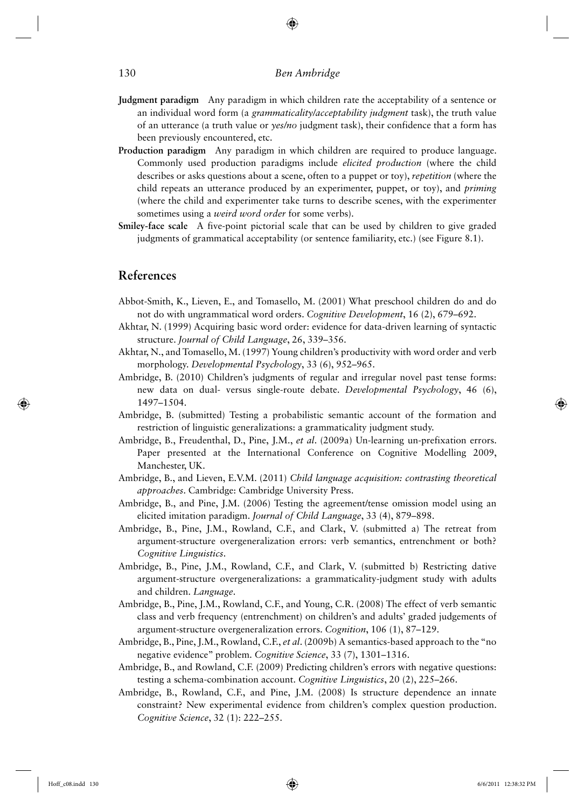⊕

- **Judgment paradigm** Any paradigm in which children rate the acceptability of a sentence or an individual word form (a *grammaticality/acceptability judgment* task), the truth value of an utterance (a truth value or *yes/no* judgment task), their confidence that a form has been previously encountered, etc.
- **Production paradigm** Any paradigm in which children are required to produce language. Commonly used production paradigms include *elicited production* (where the child describes or asks questions about a scene, often to a puppet or toy), *repetition* (where the child repeats an utterance produced by an experimenter, puppet, or toy), and *priming* (where the child and experimenter take turns to describe scenes, with the experimenter sometimes using a *weird word order* for some verbs).
- **Smiley-face scale** A five-point pictorial scale that can be used by children to give graded judgments of grammatical acceptability (or sentence familiarity, etc.) (see Figure 8.1).

# **References**

- Abbot-Smith, K., Lieven, E., and Tomasello, M. (2001) What preschool children do and do not do with ungrammatical word orders. *Cognitive Development*, 16 (2), 679–692.
- Akhtar, N. (1999) Acquiring basic word order: evidence for data-driven learning of syntactic structure. *Journal of Child Language*, 26, 339–356.
- Akhtar, N., and Tomasello, M. (1997) Young children's productivity with word order and verb morphology. *Developmental Psychology*, 33 (6), 952–965.
- Ambridge, B. (2010) Children's judgments of regular and irregular novel past tense forms: new data on dual- versus single-route debate. *Developmental Psychology*, 46 (6), 1497–1504.
- Ambridge, B. (submitted) Testing a probabilistic semantic account of the formation and restriction of linguistic generalizations: a grammaticality judgment study.
- Ambridge, B., Freudenthal, D., Pine, J.M., *et al*. (2009a) Un-learning un-prefixation errors. Paper presented at the International Conference on Cognitive Modelling 2009, Manchester, UK.
- Ambridge, B., and Lieven, E.V.M. (2011) *Child language acquisition: contrasting theoretical approaches*. Cambridge: Cambridge University Press.
- Ambridge, B., and Pine, J.M. (2006) Testing the agreement/tense omission model using an elicited imitation paradigm. *Journal of Child Language*, 33 (4), 879–898.
- Ambridge, B., Pine, J.M., Rowland, C.F., and Clark, V. (submitted a) The retreat from argument-structure overgeneralization errors: verb semantics, entrenchment or both? *Cognitive Linguistics*.
- Ambridge, B., Pine, J.M., Rowland, C.F., and Clark, V. (submitted b) Restricting dative argument-structure overgeneralizations: a grammaticality-judgment study with adults and children. *Language*.
- Ambridge, B., Pine, J.M., Rowland, C.F., and Young, C.R. (2008) The effect of verb semantic class and verb frequency (entrenchment) on children's and adults' graded judgements of argument-structure overgeneralization errors. *Cognition*, 106 (1), 87–129.
- Ambridge, B., Pine, J.M., Rowland, C.F., *et al*. (2009b) A semantics-based approach to the "no negative evidence" problem. *Cognitive Science*, 33 (7), 1301–1316.
- Ambridge, B., and Rowland, C.F. (2009) Predicting children's errors with negative questions: testing a schema-combination account. *Cognitive Linguistics*, 20 (2), 225–266.
- Ambridge, B., Rowland, C.F., and Pine, J.M. (2008) Is structure dependence an innate constraint? New experimental evidence from children's complex question production. *Cognitive Science*, 32 (1): 222–255.

⊕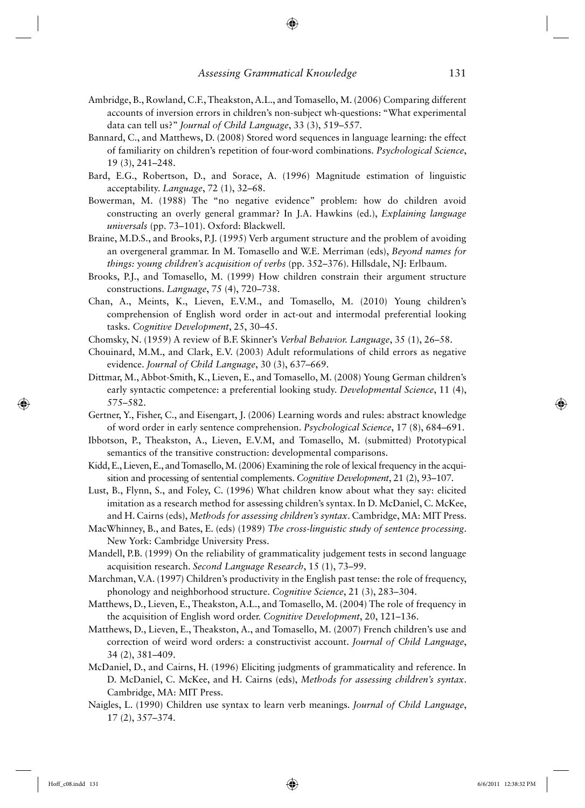- Ambridge, B., Rowland, C.F., Theakston, A.L., and Tomasello, M. (2006) Comparing different accounts of inversion errors in children's non-subject wh-questions: "What experimental data can tell us?" *Journal of Child Language*, 33 (3), 519–557.
- Bannard, C., and Matthews, D. (2008) Stored word sequences in language learning: the effect of familiarity on children's repetition of four-word combinations. *Psychological Science*, 19 (3), 241–248.
- Bard, E.G., Robertson, D., and Sorace, A. (1996) Magnitude estimation of linguistic acceptability. *Language*, 72 (1), 32–68.
- Bowerman, M. (1988) The "no negative evidence" problem: how do children avoid constructing an overly general grammar? In J.A. Hawkins (ed.), *Explaining language universals* (pp. 73–101). Oxford: Blackwell.
- Braine, M.D.S., and Brooks, P.J. (1995) Verb argument structure and the problem of avoiding an overgeneral grammar. In M. Tomasello and W.E. Merriman (eds), *Beyond names for things: young children's acquisition of verbs* (pp. 352–376). Hillsdale, NJ: Erlbaum.
- Brooks, P.J., and Tomasello, M. (1999) How children constrain their argument structure constructions. *Language*, 75 (4), 720–738.
- Chan, A., Meints, K., Lieven, E.V.M., and Tomasello, M. (2010) Young children's comprehension of English word order in act-out and intermodal preferential looking tasks. *Cognitive Development*, 25, 30–45.
- Chomsky, N. (1959) A review of B.F. Skinner's *Verbal Behavior. Language*, 35 (1), 26–58.
- Chouinard, M.M., and Clark, E.V. (2003) Adult reformulations of child errors as negative evidence. *Journal of Child Language*, 30 (3), 637–669.
- Dittmar, M., Abbot-Smith, K., Lieven, E., and Tomasello, M. (2008) Young German children's early syntactic competence: a preferential looking study. *Developmental Science*, 11 (4), 575–582.
- Gertner, Y., Fisher, C., and Eisengart, J. (2006) Learning words and rules: abstract knowledge of word order in early sentence comprehension. *Psychological Science*, 17 (8), 684–691.
- Ibbotson, P., Theakston, A., Lieven, E.V.M, and Tomasello, M. (submitted) Prototypical semantics of the transitive construction: developmental comparisons.
- Kidd, E., Lieven, E., and Tomasello, M. (2006) Examining the role of lexical frequency in the acquisition and processing of sentential complements. *Cognitive Development*, 21 (2), 93–107.
- Lust, B., Flynn, S., and Foley, C. (1996) What children know about what they say: elicited imitation as a research method for assessing children's syntax. In D. McDaniel, C. McKee, and H. Cairns (eds), *Methods for assessing children's syntax*. Cambridge, MA: MIT Press.
- MacWhinney, B., and Bates, E. (eds) (1989) *The cross-linguistic study of sentence processing*. New York: Cambridge University Press.
- Mandell, P.B. (1999) On the reliability of grammaticality judgement tests in second language acquisition research. *Second Language Research*, 15 (1), 73–99.
- Marchman, V.A. (1997) Children's productivity in the English past tense: the role of frequency, phonology and neighborhood structure. *Cognitive Science*, 21 (3), 283–304.
- Matthews, D., Lieven, E., Theakston, A.L., and Tomasello, M. (2004) The role of frequency in the acquisition of English word order. *Cognitive Development*, 20, 121–136.
- Matthews, D., Lieven, E., Theakston, A., and Tomasello, M. (2007) French children's use and correction of weird word orders: a constructivist account. *Journal of Child Language*, 34 (2), 381–409.
- McDaniel, D., and Cairns, H. (1996) Eliciting judgments of grammaticality and reference. In D. McDaniel, C. McKee, and H. Cairns (eds), *Methods for assessing children's syntax*. Cambridge, MA: MIT Press.
- Naigles, L. (1990) Children use syntax to learn verb meanings. *Journal of Child Language*, 17 (2), 357–374.